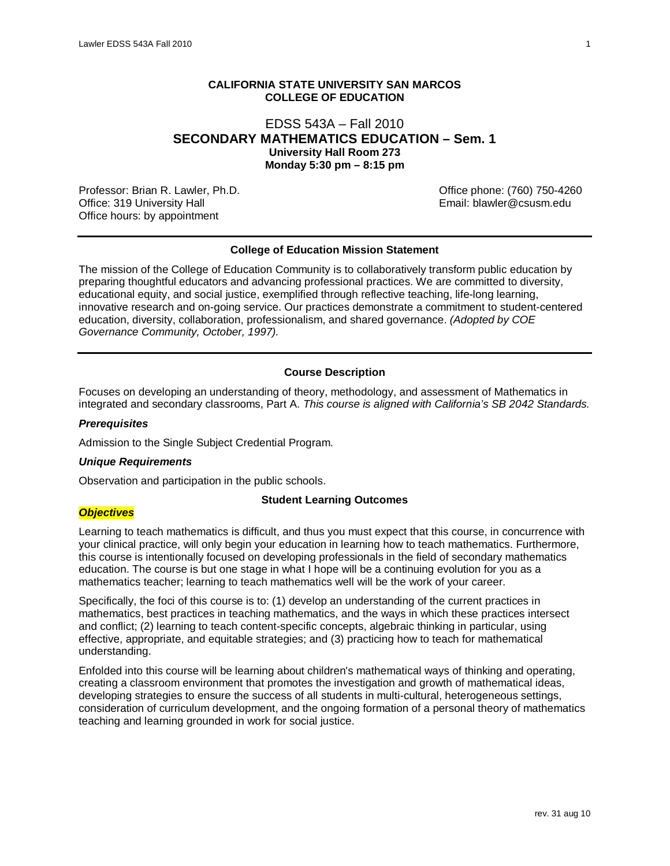# **CALIFORNIA STATE UNIVERSITY SAN MARCOS COLLEGE OF EDUCATION**

# EDSS 543A – Fall 2010 **SECONDARY MATHEMATICS EDUCATION – Sem. 1 University Hall Room 273 Monday 5:30 pm – 8:15 pm**

Professor: Brian R. Lawler, Ph.D. Carrier and Communication of the USS of Communication of Communication of Co<br>Office: 319 University Hall Communication of Communication of Communication of Communication of Communication Office: 319 University Hall Office hours: by appointment

### **College of Education Mission Statement**

The mission of the College of Education Community is to collaboratively transform public education by preparing thoughtful educators and advancing professional practices. We are committed to diversity, educational equity, and social justice, exemplified through reflective teaching, life-long learning, innovative research and on-going service. Our practices demonstrate a commitment to student-centered education, diversity, collaboration, professionalism, and shared governance. *(Adopted by COE Governance Community, October, 1997).*

### **Course Description**

Focuses on developing an understanding of theory, methodology, and assessment of Mathematics in integrated and secondary classrooms, Part A. *This course is aligned with California's SB 2042 Standards.*

#### *Prerequisites*

Admission to the Single Subject Credential Program.

#### *Unique Requirements*

Observation and participation in the public schools.

### **Student Learning Outcomes**

# *Objectives*

Learning to teach mathematics is difficult, and thus you must expect that this course, in concurrence with your clinical practice, will only begin your education in learning how to teach mathematics. Furthermore, this course is intentionally focused on developing professionals in the field of secondary mathematics education. The course is but one stage in what I hope will be a continuing evolution for you as a mathematics teacher; learning to teach mathematics well will be the work of your career.

Specifically, the foci of this course is to: (1) develop an understanding of the current practices in mathematics, best practices in teaching mathematics, and the ways in which these practices intersect and conflict; (2) learning to teach content-specific concepts, algebraic thinking in particular, using effective, appropriate, and equitable strategies; and (3) practicing how to teach for mathematical understanding.

Enfolded into this course will be learning about children's mathematical ways of thinking and operating, creating a classroom environment that promotes the investigation and growth of mathematical ideas, developing strategies to ensure the success of all students in multi-cultural, heterogeneous settings, consideration of curriculum development, and the ongoing formation of a personal theory of mathematics teaching and learning grounded in work for social justice.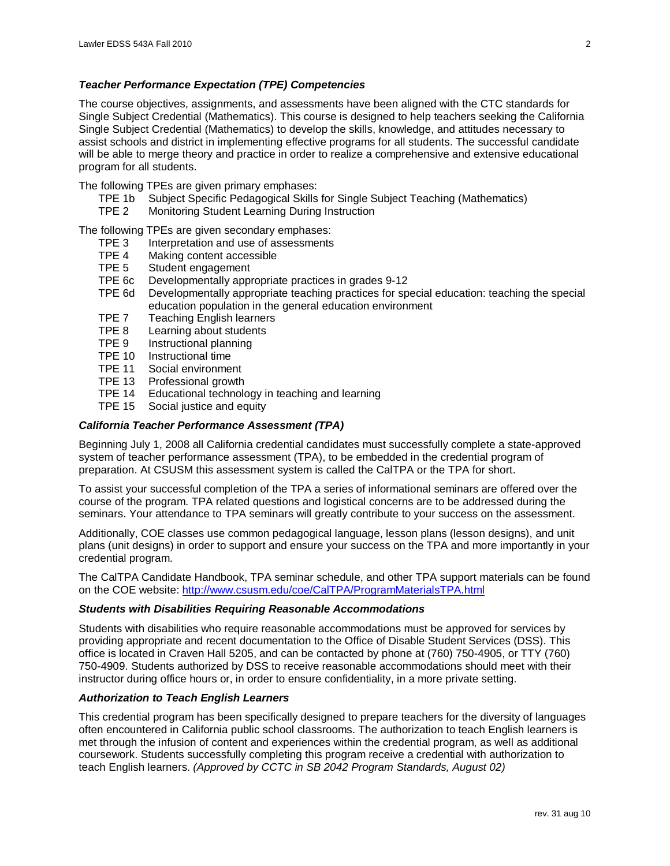### *Teacher Performance Expectation (TPE) Competencies*

The course objectives, assignments, and assessments have been aligned with the CTC standards for Single Subject Credential (Mathematics). This course is designed to help teachers seeking the California Single Subject Credential (Mathematics) to develop the skills, knowledge, and attitudes necessary to assist schools and district in implementing effective programs for all students. The successful candidate will be able to merge theory and practice in order to realize a comprehensive and extensive educational program for all students.

The following TPEs are given primary emphases:

- TPE 1b Subject Specific Pedagogical Skills for Single Subject Teaching (Mathematics)
- Monitoring Student Learning During Instruction

The following TPEs are given secondary emphases:

- TPE 3 Interpretation and use of assessments<br>TPF 4 Making content accessible
- TPE 4 Making content accessible<br>TPE 5 Student engagement
- Student engagement
- TPE 6c Developmentally appropriate practices in grades 9-12
- Developmentally appropriate teaching practices for special education: teaching the special education population in the general education environment
- TPE 7 Teaching English learners<br>TPE 8 Learning about students
- TPE 8 Learning about students<br>TPE 9 Instructional planning
- Instructional planning
- TPE 10 Instructional time<br>TPE 11 Social environme
- Social environment
- TPE 13 Professional growth
- TPE 14 Educational technology in teaching and learning
- TPE 15 Social justice and equity

### *California Teacher Performance Assessment (TPA)*

Beginning July 1, 2008 all California credential candidates must successfully complete a state-approved system of teacher performance assessment (TPA), to be embedded in the credential program of preparation. At CSUSM this assessment system is called the CalTPA or the TPA for short.

To assist your successful completion of the TPA a series of informational seminars are offered over the course of the program. TPA related questions and logistical concerns are to be addressed during the seminars. Your attendance to TPA seminars will greatly contribute to your success on the assessment.

Additionally, COE classes use common pedagogical language, lesson plans (lesson designs), and unit plans (unit designs) in order to support and ensure your success on the TPA and more importantly in your credential program.

The CalTPA Candidate Handbook, TPA seminar schedule, and other TPA support materials can be found on the COE website:<http://www.csusm.edu/coe/CalTPA/ProgramMaterialsTPA.html>

#### *Students with Disabilities Requiring Reasonable Accommodations*

Students with disabilities who require reasonable accommodations must be approved for services by providing appropriate and recent documentation to the Office of Disable Student Services (DSS). This office is located in Craven Hall 5205, and can be contacted by phone at (760) 750-4905, or TTY (760) 750-4909. Students authorized by DSS to receive reasonable accommodations should meet with their instructor during office hours or, in order to ensure confidentiality, in a more private setting.

# *Authorization to Teach English Learners*

This credential program has been specifically designed to prepare teachers for the diversity of languages often encountered in California public school classrooms. The authorization to teach English learners is met through the infusion of content and experiences within the credential program, as well as additional coursework. Students successfully completing this program receive a credential with authorization to teach English learners. *(Approved by CCTC in SB 2042 Program Standards, August 02)*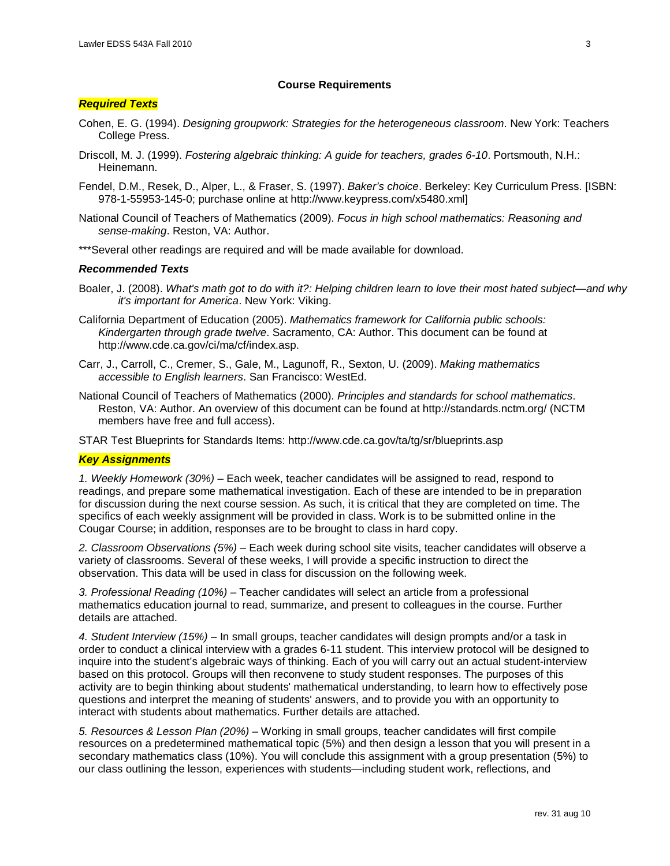#### **Course Requirements**

### *Required Texts*

- Cohen, E. G. (1994). *Designing groupwork: Strategies for the heterogeneous classroom*. New York: Teachers College Press.
- Driscoll, M. J. (1999). *Fostering algebraic thinking: A guide for teachers, grades 6-10*. Portsmouth, N.H.: Heinemann.
- Fendel, D.M., Resek, D., Alper, L., & Fraser, S. (1997). *Baker's choice*. Berkeley: Key Curriculum Press. [ISBN: 978-1-55953-145-0; purchase online at http://www.keypress.com/x5480.xml]
- National Council of Teachers of Mathematics (2009). *Focus in high school mathematics: Reasoning and sense-making*. Reston, VA: Author.
- \*\*\*Several other readings are required and will be made available for download.

#### *Recommended Texts*

- Boaler, J. (2008). *What's math got to do with it?: Helping children learn to love their most hated subject—and why it's important for America*. New York: Viking.
- California Department of Education (2005). *Mathematics framework for California public schools: Kindergarten through grade twelve*. Sacramento, CA: Author. This document can be found at http://www.cde.ca.gov/ci/ma/cf/index.asp.
- Carr, J., Carroll, C., Cremer, S., Gale, M., Lagunoff, R., Sexton, U. (2009). *Making mathematics accessible to English learners*. San Francisco: WestEd.
- National Council of Teachers of Mathematics (2000). *Principles and standards for school mathematics*. Reston, VA: Author. An overview of this document can be found at http://standards.nctm.org/ (NCTM members have free and full access).

STAR Test Blueprints for Standards Items: http://www.cde.ca.gov/ta/tg/sr/blueprints.asp

#### *Key Assignments*

*1. Weekly Homework (30%)* – Each week, teacher candidates will be assigned to read, respond to readings, and prepare some mathematical investigation. Each of these are intended to be in preparation for discussion during the next course session. As such, it is critical that they are completed on time. The specifics of each weekly assignment will be provided in class. Work is to be submitted online in the Cougar Course; in addition, responses are to be brought to class in hard copy.

*2. Classroom Observations (5%)* – Each week during school site visits, teacher candidates will observe a variety of classrooms. Several of these weeks, I will provide a specific instruction to direct the observation. This data will be used in class for discussion on the following week.

*3. Professional Reading (10%)* – Teacher candidates will select an article from a professional mathematics education journal to read, summarize, and present to colleagues in the course. Further details are attached.

*4. Student Interview (15%)* – In small groups, teacher candidates will design prompts and/or a task in order to conduct a clinical interview with a grades 6-11 student. This interview protocol will be designed to inquire into the student's algebraic ways of thinking. Each of you will carry out an actual student-interview based on this protocol. Groups will then reconvene to study student responses. The purposes of this activity are to begin thinking about students' mathematical understanding, to learn how to effectively pose questions and interpret the meaning of students' answers, and to provide you with an opportunity to interact with students about mathematics. Further details are attached.

*5. Resources & Lesson Plan (20%)* – Working in small groups, teacher candidates will first compile resources on a predetermined mathematical topic (5%) and then design a lesson that you will present in a secondary mathematics class (10%). You will conclude this assignment with a group presentation (5%) to our class outlining the lesson, experiences with students—including student work, reflections, and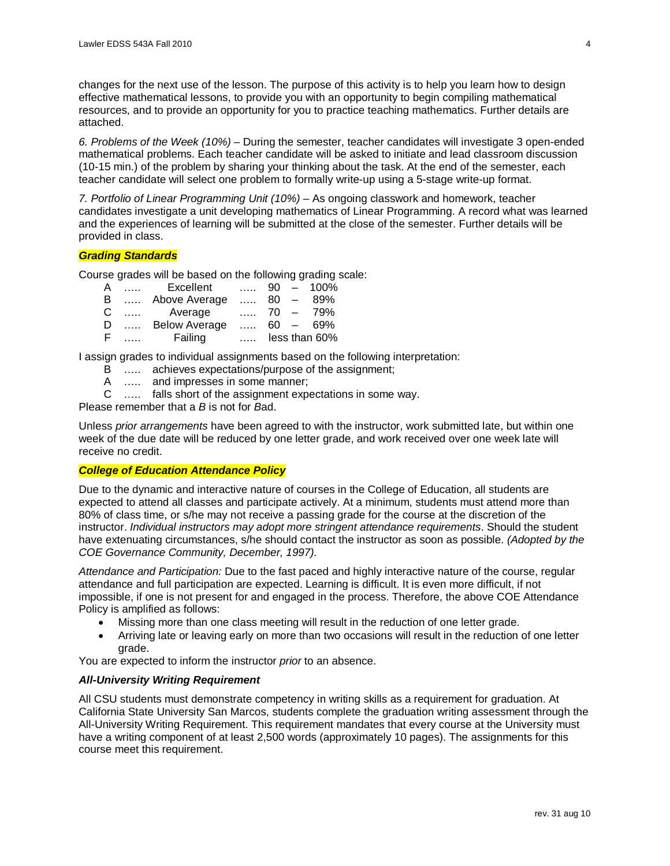changes for the next use of the lesson. The purpose of this activity is to help you learn how to design effective mathematical lessons, to provide you with an opportunity to begin compiling mathematical resources, and to provide an opportunity for you to practice teaching mathematics. Further details are attached.

*6. Problems of the Week (10%) –* During the semester, teacher candidates will investigate 3 open-ended mathematical problems. Each teacher candidate will be asked to initiate and lead classroom discussion (10-15 min.) of the problem by sharing your thinking about the task. At the end of the semester, each teacher candidate will select one problem to formally write-up using a 5-stage write-up format.

7. Portfolio of Linear Programming Unit (10%) – As ongoing classwork and homework, teacher candidates investigate a unit developing mathematics of Linear Programming. A record what was learned and the experiences of learning will be submitted at the close of the semester. Further details will be provided in class.

# *Grading Standards*

Course grades will be based on the following grading scale:

| A  |                               | $\dots$ Excellent    |          |  | $\ldots$ 90 - 100%  |
|----|-------------------------------|----------------------|----------|--|---------------------|
| B  |                               | Above Average        | 80 $-$   |  | 89%                 |
| C  |                               | Average              |          |  | $\ldots$ 70 - 79%   |
| D  | $\mathbf{r}$ and $\mathbf{r}$ | <b>Below Average</b> |          |  | $\ldots$ , 60 – 69% |
| F. |                               | Failing              | $\cdots$ |  | less than 60%       |

I assign grades to individual assignments based on the following interpretation:

- B ….. achieves expectations/purpose of the assignment;
- A ….. and impresses in some manner;
- C ….. falls short of the assignment expectations in some way.

Please remember that a *B* is not for *B*ad.

Unless *prior arrangements* have been agreed to with the instructor, work submitted late, but within one week of the due date will be reduced by one letter grade, and work received over one week late will receive no credit.

# *College of Education Attendance Policy*

Due to the dynamic and interactive nature of courses in the College of Education, all students are expected to attend all classes and participate actively. At a minimum, students must attend more than 80% of class time, or s/he may not receive a passing grade for the course at the discretion of the instructor. *Individual instructors may adopt more stringent attendance requirements*. Should the student have extenuating circumstances, s/he should contact the instructor as soon as possible. *(Adopted by the COE Governance Community, December, 1997).*

*Attendance and Participation:* Due to the fast paced and highly interactive nature of the course, regular attendance and full participation are expected. Learning is difficult. It is even more difficult, if not impossible, if one is not present for and engaged in the process. Therefore, the above COE Attendance Policy is amplified as follows:

- Missing more than one class meeting will result in the reduction of one letter grade.
- Arriving late or leaving early on more than two occasions will result in the reduction of one letter grade.

You are expected to inform the instructor *prior* to an absence.

# *All-University Writing Requirement*

All CSU students must demonstrate competency in writing skills as a requirement for graduation. At California State University San Marcos, students complete the graduation writing assessment through the All-University Writing Requirement. This requirement mandates that every course at the University must have a writing component of at least 2,500 words (approximately 10 pages). The assignments for this course meet this requirement.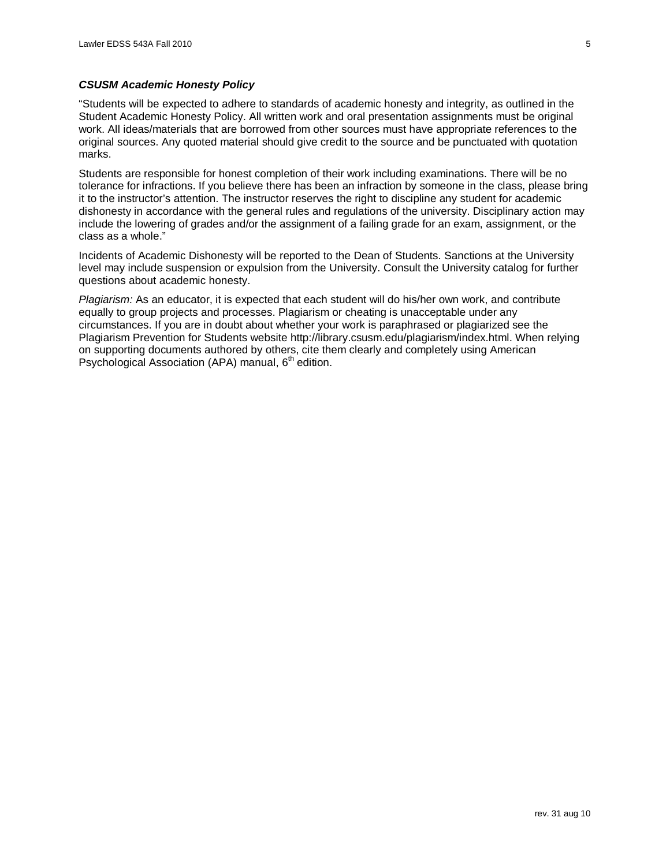### *CSUSM Academic Honesty Policy*

"Students will be expected to adhere to standards of academic honesty and integrity, as outlined in the Student Academic Honesty Policy. All written work and oral presentation assignments must be original work. All ideas/materials that are borrowed from other sources must have appropriate references to the original sources. Any quoted material should give credit to the source and be punctuated with quotation marks.

Students are responsible for honest completion of their work including examinations. There will be no tolerance for infractions. If you believe there has been an infraction by someone in the class, please bring it to the instructor's attention. The instructor reserves the right to discipline any student for academic dishonesty in accordance with the general rules and regulations of the university. Disciplinary action may include the lowering of grades and/or the assignment of a failing grade for an exam, assignment, or the class as a whole."

Incidents of Academic Dishonesty will be reported to the Dean of Students. Sanctions at the University level may include suspension or expulsion from the University. Consult the University catalog for further questions about academic honesty.

*Plagiarism:* As an educator, it is expected that each student will do his/her own work, and contribute equally to group projects and processes. Plagiarism or cheating is unacceptable under any circumstances. If you are in doubt about whether your work is paraphrased or plagiarized see the Plagiarism Prevention for Students website http://library.csusm.edu/plagiarism/index.html. When relying on supporting documents authored by others, cite them clearly and completely using American Psychological Association (APA) manual, 6<sup>th</sup> edition.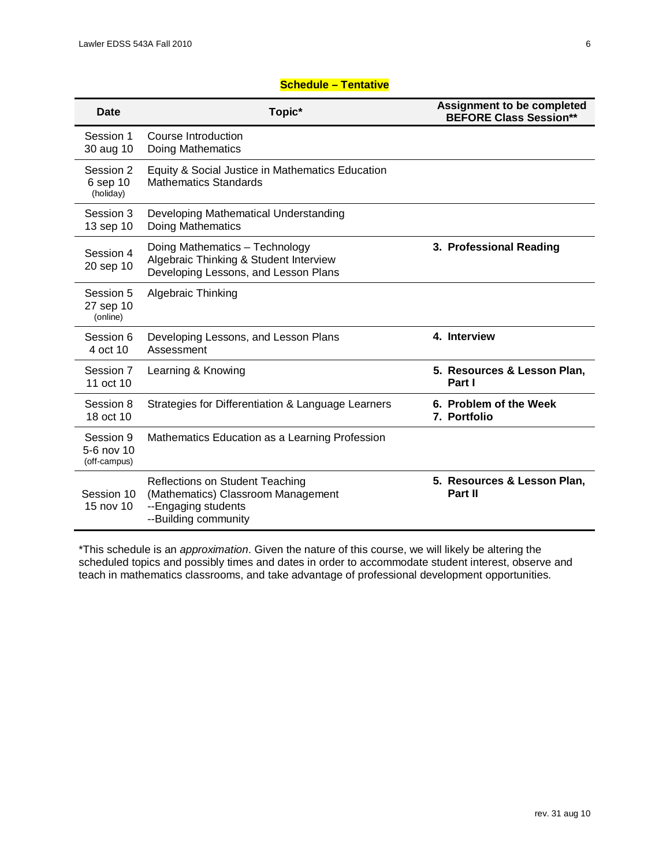# **Schedule – Tentative**

| Date                                    | Topic*                                                                                                                      | <b>Assignment to be completed</b><br><b>BEFORE Class Session**</b> |
|-----------------------------------------|-----------------------------------------------------------------------------------------------------------------------------|--------------------------------------------------------------------|
| Session 1<br>30 aug 10                  | Course Introduction<br>Doing Mathematics                                                                                    |                                                                    |
| Session 2<br>6 sep 10<br>(holiday)      | Equity & Social Justice in Mathematics Education<br><b>Mathematics Standards</b>                                            |                                                                    |
| Session 3<br>13 sep 10                  | Developing Mathematical Understanding<br><b>Doing Mathematics</b>                                                           |                                                                    |
| Session 4<br>20 sep 10                  | Doing Mathematics - Technology<br>Algebraic Thinking & Student Interview<br>Developing Lessons, and Lesson Plans            | 3. Professional Reading                                            |
| Session 5<br>27 sep 10<br>(online)      | Algebraic Thinking                                                                                                          |                                                                    |
| Session 6<br>4 oct 10                   | Developing Lessons, and Lesson Plans<br>Assessment                                                                          | 4. Interview                                                       |
| Session 7<br>11 oct 10                  | Learning & Knowing                                                                                                          | 5. Resources & Lesson Plan,<br>Part I                              |
| Session 8<br>18 oct 10                  | Strategies for Differentiation & Language Learners                                                                          | 6. Problem of the Week<br>7. Portfolio                             |
| Session 9<br>5-6 nov 10<br>(off-campus) | Mathematics Education as a Learning Profession                                                                              |                                                                    |
| Session 10<br>15 nov 10                 | <b>Reflections on Student Teaching</b><br>(Mathematics) Classroom Management<br>--Engaging students<br>--Building community | 5. Resources & Lesson Plan,<br>Part II                             |

\*This schedule is an *approximation*. Given the nature of this course, we will likely be altering the scheduled topics and possibly times and dates in order to accommodate student interest, observe and teach in mathematics classrooms, and take advantage of professional development opportunities.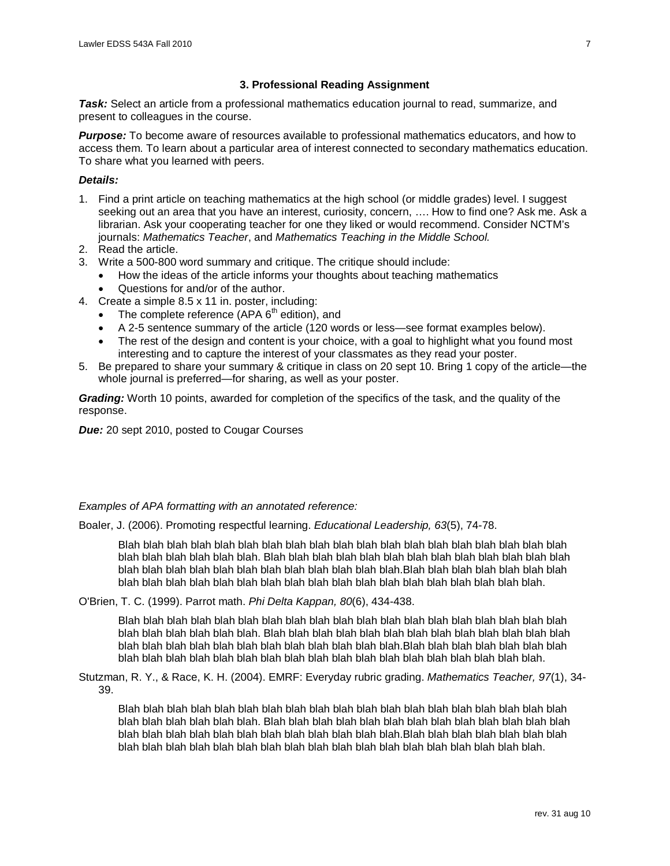# **3. Professional Reading Assignment**

**Task:** Select an article from a professional mathematics education journal to read, summarize, and present to colleagues in the course.

*Purpose:* To become aware of resources available to professional mathematics educators, and how to access them. To learn about a particular area of interest connected to secondary mathematics education. To share what you learned with peers.

# *Details:*

- 1. Find a print article on teaching mathematics at the high school (or middle grades) level. I suggest seeking out an area that you have an interest, curiosity, concern, …. How to find one? Ask me. Ask a librarian. Ask your cooperating teacher for one they liked or would recommend. Consider NCTM's journals: *Mathematics Teacher*, and *Mathematics Teaching in the Middle School.*
- 2. Read the article.
- 3. Write a 500-800 word summary and critique. The critique should include:
	- How the ideas of the article informs your thoughts about teaching mathematics
	- Questions for and/or of the author.
- 4. Create a simple 8.5 x 11 in. poster, including:
	- The complete reference  $(APA 6<sup>th</sup> edition)$ , and
	- A 2-5 sentence summary of the article (120 words or less—see format examples below).
	- The rest of the design and content is your choice, with a goal to highlight what you found most interesting and to capture the interest of your classmates as they read your poster.
- 5. Be prepared to share your summary & critique in class on 20 sept 10. Bring 1 copy of the article—the whole journal is preferred—for sharing, as well as your poster.

*Grading:* Worth 10 points, awarded for completion of the specifics of the task, and the quality of the response.

*Due:* 20 sept 2010, posted to Cougar Courses

#### *Examples of APA formatting with an annotated reference:*

Boaler, J. (2006). Promoting respectful learning. *Educational Leadership, 63*(5), 74-78.

Blah blah blah blah blah blah blah blah blah blah blah blah blah blah blah blah blah blah blah blah blah blah blah blah blah. Blah blah blah blah blah blah blah blah blah blah blah blah blah blah blah blah blah blah blah blah blah blah blah blah blah.Blah blah blah blah blah blah blah blah blah blah blah blah blah blah blah blah blah blah blah blah blah blah blah blah blah.

O'Brien, T. C. (1999). Parrot math. *Phi Delta Kappan, 80*(6), 434-438.

Blah blah blah blah blah blah blah blah blah blah blah blah blah blah blah blah blah blah blah blah blah blah blah blah blah. Blah blah blah blah blah blah blah blah blah blah blah blah blah blah blah blah blah blah blah blah blah blah blah blah blah.Blah blah blah blah blah blah blah blah blah blah blah blah blah blah blah blah blah blah blah blah blah blah blah blah blah.

Stutzman, R. Y., & Race, K. H. (2004). EMRF: Everyday rubric grading. *Mathematics Teacher, 97*(1), 34- 39.

Blah blah blah blah blah blah blah blah blah blah blah blah blah blah blah blah blah blah blah blah blah blah blah blah blah. Blah blah blah blah blah blah blah blah blah blah blah blah blah blah blah blah blah blah blah blah blah blah blah blah blah.Blah blah blah blah blah blah blah blah blah blah blah blah blah blah blah blah blah blah blah blah blah blah blah blah blah.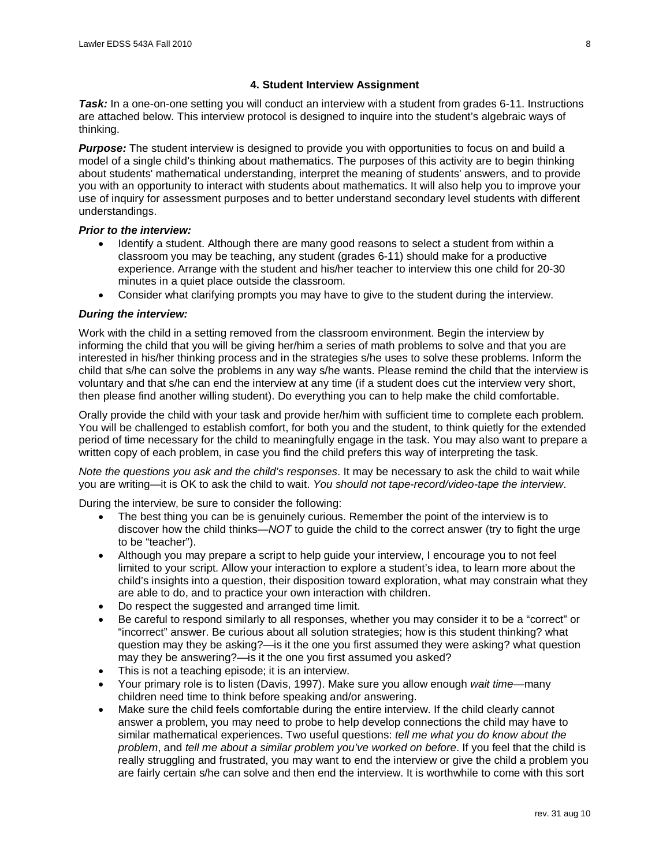# **4. Student Interview Assignment**

*Task:* In a one-on-one setting you will conduct an interview with a student from grades 6-11. Instructions are attached below. This interview protocol is designed to inquire into the student's algebraic ways of thinking.

**Purpose:** The student interview is designed to provide you with opportunities to focus on and build a model of a single child's thinking about mathematics. The purposes of this activity are to begin thinking about students' mathematical understanding, interpret the meaning of students' answers, and to provide you with an opportunity to interact with students about mathematics. It will also help you to improve your use of inquiry for assessment purposes and to better understand secondary level students with different understandings.

# *Prior to the interview:*

- Identify a student. Although there are many good reasons to select a student from within a classroom you may be teaching, any student (grades 6-11) should make for a productive experience. Arrange with the student and his/her teacher to interview this one child for 20-30 minutes in a quiet place outside the classroom.
- Consider what clarifying prompts you may have to give to the student during the interview.

### *During the interview:*

Work with the child in a setting removed from the classroom environment. Begin the interview by informing the child that you will be giving her/him a series of math problems to solve and that you are interested in his/her thinking process and in the strategies s/he uses to solve these problems. Inform the child that s/he can solve the problems in any way s/he wants. Please remind the child that the interview is voluntary and that s/he can end the interview at any time (if a student does cut the interview very short, then please find another willing student). Do everything you can to help make the child comfortable.

Orally provide the child with your task and provide her/him with sufficient time to complete each problem. You will be challenged to establish comfort, for both you and the student, to think quietly for the extended period of time necessary for the child to meaningfully engage in the task. You may also want to prepare a written copy of each problem, in case you find the child prefers this way of interpreting the task.

*Note the questions you ask and the child's responses*. It may be necessary to ask the child to wait while you are writing—it is OK to ask the child to wait. *You should not tape-record/video-tape the interview*.

During the interview, be sure to consider the following:

- The best thing you can be is genuinely curious. Remember the point of the interview is to discover how the child thinks—*NOT* to guide the child to the correct answer (try to fight the urge to be "teacher").
- Although you may prepare a script to help guide your interview, I encourage you to not feel limited to your script. Allow your interaction to explore a student's idea, to learn more about the child's insights into a question, their disposition toward exploration, what may constrain what they are able to do, and to practice your own interaction with children.
- Do respect the suggested and arranged time limit.
- Be careful to respond similarly to all responses, whether you may consider it to be a "correct" or "incorrect" answer. Be curious about all solution strategies; how is this student thinking? what question may they be asking?—is it the one you first assumed they were asking? what question may they be answering?—is it the one you first assumed you asked?
- This is not a teaching episode; it is an interview.
- Your primary role is to listen (Davis, 1997). Make sure you allow enough *wait time*—many children need time to think before speaking and/or answering.
- Make sure the child feels comfortable during the entire interview. If the child clearly cannot answer a problem, you may need to probe to help develop connections the child may have to similar mathematical experiences. Two useful questions: *tell me what you do know about the problem*, and *tell me about a similar problem you've worked on before*. If you feel that the child is really struggling and frustrated, you may want to end the interview or give the child a problem you are fairly certain s/he can solve and then end the interview. It is worthwhile to come with this sort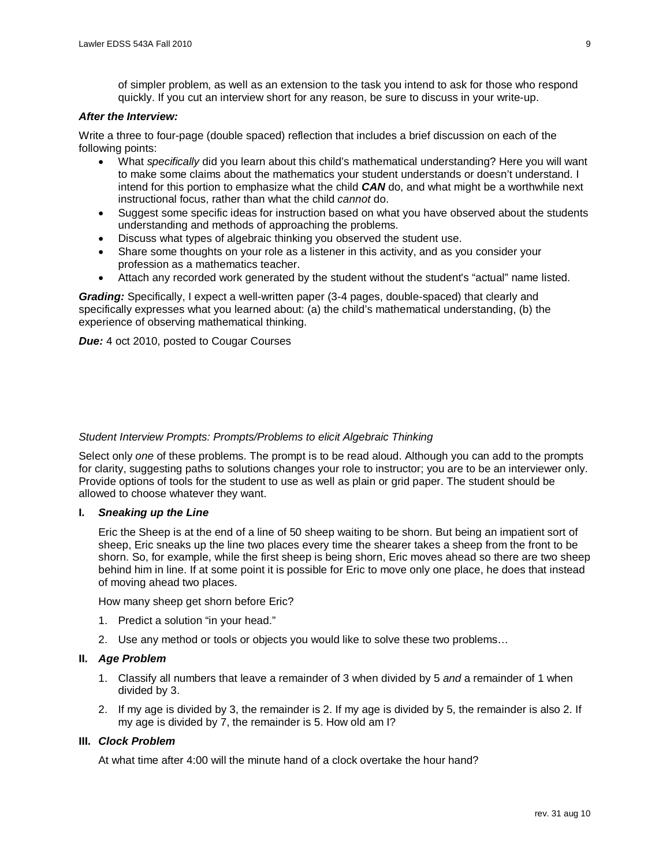of simpler problem, as well as an extension to the task you intend to ask for those who respond quickly. If you cut an interview short for any reason, be sure to discuss in your write-up.

### *After the Interview:*

Write a three to four-page (double spaced) reflection that includes a brief discussion on each of the following points:

- What *specifically* did you learn about this child's mathematical understanding? Here you will want to make some claims about the mathematics your student understands or doesn't understand. I intend for this portion to emphasize what the child *CAN* do, and what might be a worthwhile next instructional focus, rather than what the child *cannot* do.
- Suggest some specific ideas for instruction based on what you have observed about the students understanding and methods of approaching the problems.
- Discuss what types of algebraic thinking you observed the student use.
- Share some thoughts on your role as a listener in this activity, and as you consider your profession as a mathematics teacher.
- Attach any recorded work generated by the student without the student's "actual" name listed.

*Grading:* Specifically, I expect a well-written paper (3-4 pages, double-spaced) that clearly and specifically expresses what you learned about: (a) the child's mathematical understanding, (b) the experience of observing mathematical thinking.

**Due:** 4 oct 2010, posted to Cougar Courses

# *Student Interview Prompts: Prompts/Problems to elicit Algebraic Thinking*

Select only *one* of these problems. The prompt is to be read aloud. Although you can add to the prompts for clarity, suggesting paths to solutions changes your role to instructor; you are to be an interviewer only. Provide options of tools for the student to use as well as plain or grid paper. The student should be allowed to choose whatever they want.

#### **I.** *Sneaking up the Line*

Eric the Sheep is at the end of a line of 50 sheep waiting to be shorn. But being an impatient sort of sheep, Eric sneaks up the line two places every time the shearer takes a sheep from the front to be shorn. So, for example, while the first sheep is being shorn, Eric moves ahead so there are two sheep behind him in line. If at some point it is possible for Eric to move only one place, he does that instead of moving ahead two places.

How many sheep get shorn before Eric?

- 1. Predict a solution "in your head."
- 2. Use any method or tools or objects you would like to solve these two problems…

#### **II.** *Age Problem*

- 1. Classify all numbers that leave a remainder of 3 when divided by 5 *and* a remainder of 1 when divided by 3.
- 2. If my age is divided by 3, the remainder is 2. If my age is divided by 5, the remainder is also 2. If my age is divided by 7, the remainder is 5. How old am I?

#### **III.** *Clock Problem*

At what time after 4:00 will the minute hand of a clock overtake the hour hand?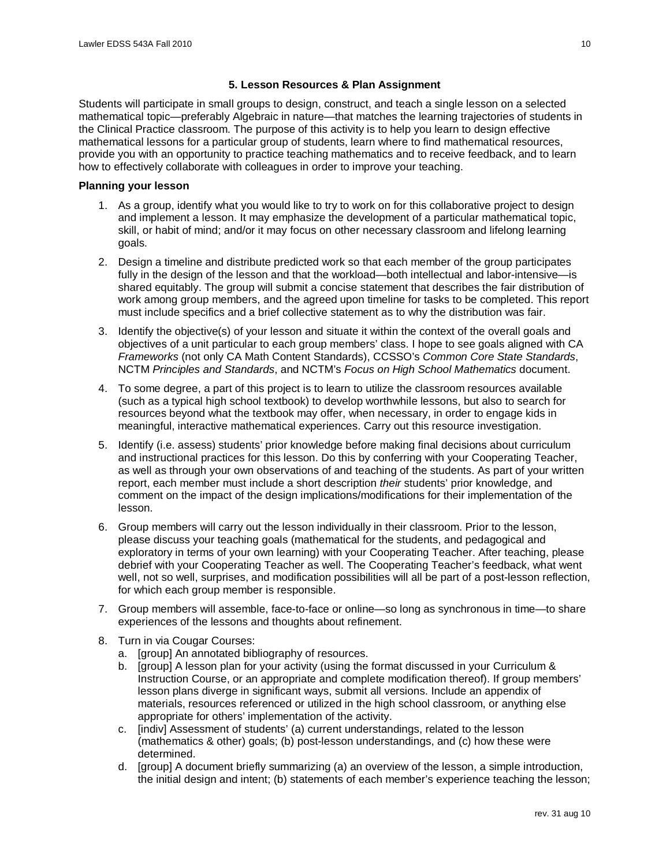# **5. Lesson Resources & Plan Assignment**

Students will participate in small groups to design, construct, and teach a single lesson on a selected mathematical topic—preferably Algebraic in nature—that matches the learning trajectories of students in the Clinical Practice classroom. The purpose of this activity is to help you learn to design effective mathematical lessons for a particular group of students, learn where to find mathematical resources, provide you with an opportunity to practice teaching mathematics and to receive feedback, and to learn how to effectively collaborate with colleagues in order to improve your teaching.

# **Planning your lesson**

- 1. As a group, identify what you would like to try to work on for this collaborative project to design and implement a lesson. It may emphasize the development of a particular mathematical topic, skill, or habit of mind; and/or it may focus on other necessary classroom and lifelong learning goals.
- 2. Design a timeline and distribute predicted work so that each member of the group participates fully in the design of the lesson and that the workload—both intellectual and labor-intensive—is shared equitably. The group will submit a concise statement that describes the fair distribution of work among group members, and the agreed upon timeline for tasks to be completed. This report must include specifics and a brief collective statement as to why the distribution was fair.
- 3. Identify the objective(s) of your lesson and situate it within the context of the overall goals and objectives of a unit particular to each group members' class. I hope to see goals aligned with CA *Frameworks* (not only CA Math Content Standards), CCSSO's *Common Core State Standards*, NCTM *Principles and Standards*, and NCTM's *Focus on High School Mathematics* document.
- 4. To some degree, a part of this project is to learn to utilize the classroom resources available (such as a typical high school textbook) to develop worthwhile lessons, but also to search for resources beyond what the textbook may offer, when necessary, in order to engage kids in meaningful, interactive mathematical experiences. Carry out this resource investigation.
- 5. Identify (i.e. assess) students' prior knowledge before making final decisions about curriculum and instructional practices for this lesson. Do this by conferring with your Cooperating Teacher, as well as through your own observations of and teaching of the students. As part of your written report, each member must include a short description *their* students' prior knowledge, and comment on the impact of the design implications/modifications for their implementation of the lesson.
- 6. Group members will carry out the lesson individually in their classroom. Prior to the lesson, please discuss your teaching goals (mathematical for the students, and pedagogical and exploratory in terms of your own learning) with your Cooperating Teacher. After teaching, please debrief with your Cooperating Teacher as well. The Cooperating Teacher's feedback, what went well, not so well, surprises, and modification possibilities will all be part of a post-lesson reflection, for which each group member is responsible.
- 7. Group members will assemble, face-to-face or online—so long as synchronous in time—to share experiences of the lessons and thoughts about refinement.
- 8. Turn in via Cougar Courses:
	- a. [group] An annotated bibliography of resources.
	- b. [group] A lesson plan for your activity (using the format discussed in your Curriculum & Instruction Course, or an appropriate and complete modification thereof). If group members' lesson plans diverge in significant ways, submit all versions. Include an appendix of materials, resources referenced or utilized in the high school classroom, or anything else appropriate for others' implementation of the activity.
	- c. [indiv] Assessment of students' (a) current understandings, related to the lesson (mathematics & other) goals; (b) post-lesson understandings, and (c) how these were determined.
	- d. [group] A document briefly summarizing (a) an overview of the lesson, a simple introduction, the initial design and intent; (b) statements of each member's experience teaching the lesson;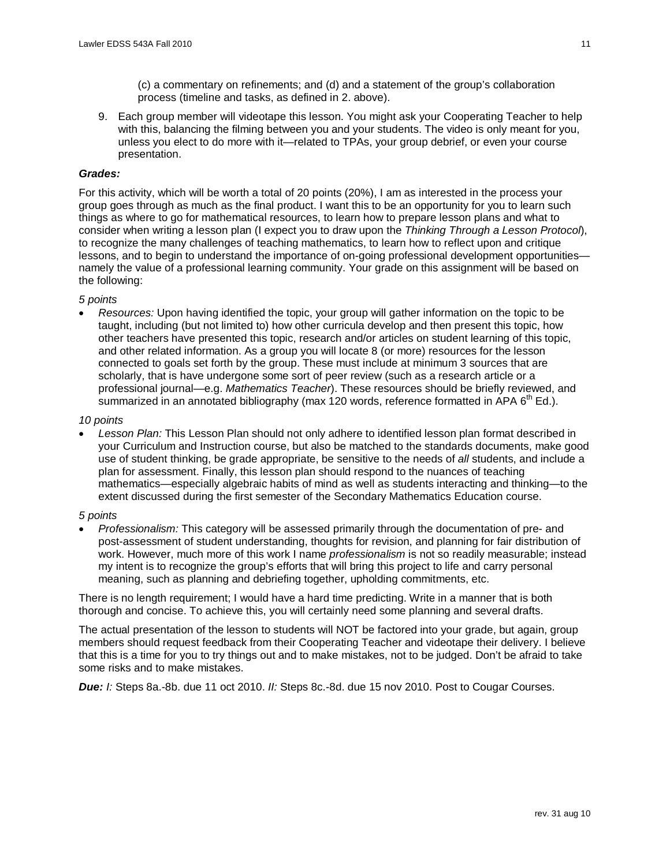(c) a commentary on refinements; and (d) and a statement of the group's collaboration process (timeline and tasks, as defined in 2. above).

9. Each group member will videotape this lesson. You might ask your Cooperating Teacher to help with this, balancing the filming between you and your students. The video is only meant for you, unless you elect to do more with it—related to TPAs, your group debrief, or even your course presentation.

# *Grades:*

For this activity, which will be worth a total of 20 points (20%), I am as interested in the process your group goes through as much as the final product. I want this to be an opportunity for you to learn such things as where to go for mathematical resources, to learn how to prepare lesson plans and what to consider when writing a lesson plan (I expect you to draw upon the *Thinking Through a Lesson Protocol*), to recognize the many challenges of teaching mathematics, to learn how to reflect upon and critique lessons, and to begin to understand the importance of on-going professional development opportunities namely the value of a professional learning community. Your grade on this assignment will be based on the following:

# *5 points*

• *Resources:* Upon having identified the topic, your group will gather information on the topic to be taught, including (but not limited to) how other curricula develop and then present this topic, how other teachers have presented this topic, research and/or articles on student learning of this topic, and other related information. As a group you will locate 8 (or more) resources for the lesson connected to goals set forth by the group. These must include at minimum 3 sources that are scholarly, that is have undergone some sort of peer review (such as a research article or a professional journal—e.g. *Mathematics Teacher*). These resources should be briefly reviewed, and summarized in an annotated bibliography (max 120 words, reference formatted in APA  $6<sup>th</sup>$  Ed.).

# *10 points*

• *Lesson Plan:* This Lesson Plan should not only adhere to identified lesson plan format described in your Curriculum and Instruction course, but also be matched to the standards documents, make good use of student thinking, be grade appropriate, be sensitive to the needs of *all* students, and include a plan for assessment. Finally, this lesson plan should respond to the nuances of teaching mathematics—especially algebraic habits of mind as well as students interacting and thinking—to the extent discussed during the first semester of the Secondary Mathematics Education course.

# *5 points*

• *Professionalism:* This category will be assessed primarily through the documentation of pre- and post-assessment of student understanding, thoughts for revision, and planning for fair distribution of work. However, much more of this work I name *professionalism* is not so readily measurable; instead my intent is to recognize the group's efforts that will bring this project to life and carry personal meaning, such as planning and debriefing together, upholding commitments, etc.

There is no length requirement; I would have a hard time predicting. Write in a manner that is both thorough and concise. To achieve this, you will certainly need some planning and several drafts.

The actual presentation of the lesson to students will NOT be factored into your grade, but again, group members should request feedback from their Cooperating Teacher and videotape their delivery. I believe that this is a time for you to try things out and to make mistakes, not to be judged. Don't be afraid to take some risks and to make mistakes.

*Due: I:* Steps 8a.-8b. due 11 oct 2010. *II:* Steps 8c.-8d. due 15 nov 2010. Post to Cougar Courses.